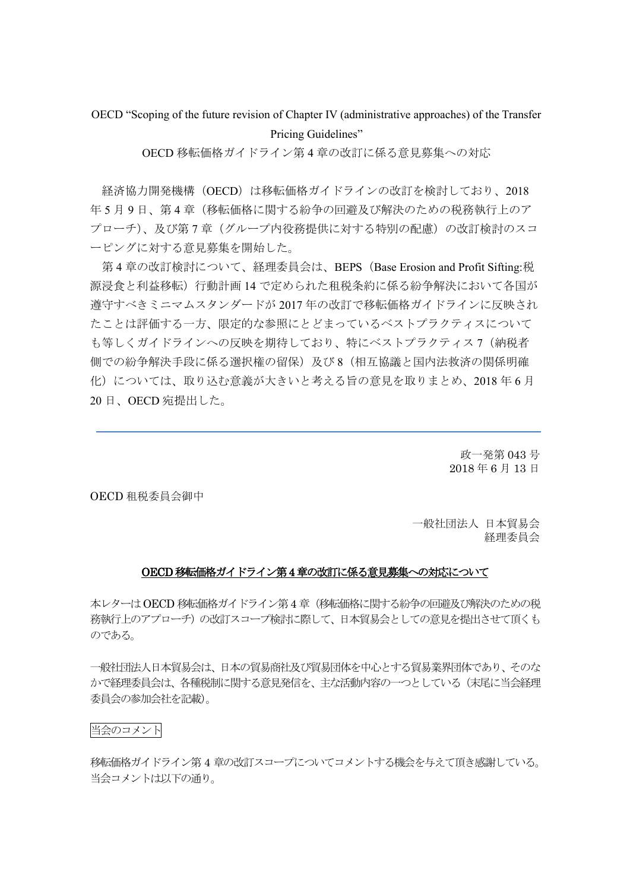OECD "Scoping of the future revision of Chapter IV (administrative approaches) of the Transfer Pricing Guidelines"

OECD 移転価格ガイドライン第 4 章の改訂に係る意見募集への対応

経済協力開発機構 (OECD) は移転価格ガイドラインの改訂を検討しており、2018 年 5 月 9 日、第 4 章(移転価格に関する紛争の回避及び解決のための税務執行上のア プローチ)、及び第 7 章(グループ内役務提供に対する特別の配慮)の改訂検討のスコ ーピングに対する意見募集を開始した。

第 4 章の改訂検討について、経理委員会は、BEPS(Base Erosion and Profit Sifting:税 源浸食と利益移転)行動計画 14 で定められた租税条約に係る紛争解決において各国が 遵守すべきミニマムスタンダードが 2017 年の改訂で移転価格ガイドラインに反映され たことは評価する一方、限定的な参照にとどまっているベストプラクティスについて も等しくガイドラインへの反映を期待しており、特にベストプラクティス7(納税者 側での紛争解決手段に係る選択権の留保)及び 8(相互協議と国内法救済の関係明確 化)については、取り込む意義が大きいと考える旨の意見を取りまとめ、2018 年 6 月 20 日、OECD 宛提出した。

> 政一発第 043 号 2018 年 6 月 13 日

OECD 租税委員会御中

一般社団法人 日本貿易会 経理委員会

### OECD移転価格ガイドライン第4章の改訂に係る意見募集への対応について

本レターはOECD 移転価格ガイドライン第4 章(移転価格に関する紛争の回避及び解決のための税 務執行上のアプローチ)の改訂スコープ検討に際して、日本貿易会としての意見を提出させて頂くも のである。

一般社団法人日本貿易会は、日本の貿易商社及び貿易団体を中心とする貿易業界団体であり、そのな かで経理委員会は、各種税制に関する意見発信を、主な活動内容の一つとしている(末尾に当会経理 委員会の参加会社を記載)。

#### 当会のコメント

移転価格ガイドライン第 4 章の改訂スコープについてコメントする機会を与えて頂き感謝している。 当会コメントは以下の通り。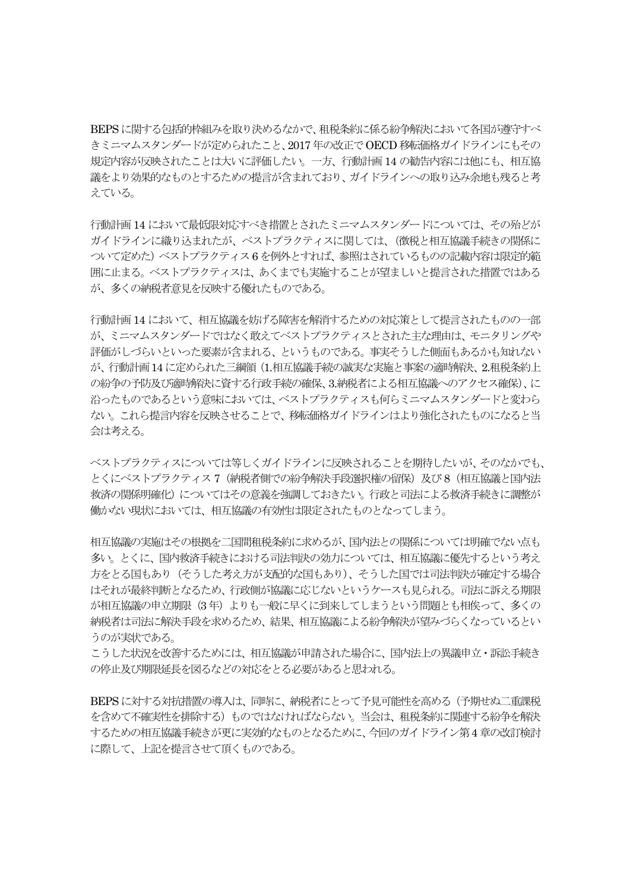BEPSに関する包括的枠組みを取り決めるなかで、租税条約に係る紛争解決において各国が遵守すべ きミニマムスタンダードが定められたこと、2017 年の改正でOECD移転価格ガイドラインにもその 規定内容が反映されたことは大いに評価したい。一方、行動計画 14 の勧告内容には他にも、相互協 議をより効果的なものとするための提言が含まれており、ガイドラインへの取り込み余地も残ると考 えている。

行動計画 14 において最低限対応すべき措置とされたミニマムスタンダードについては、その殆どが ガイドラインに織り込まれたが、ベストプラクティスに関しては、(徴税と相互協議手続きの関係に ついて定めた)ベストプラクティス6 を例外とすれば、参照はされているものの記載内容は限定的範 囲に止まる。ベストプラクティスは、あくまでも実施することが望ましいと提言された措置ではある が、多くの納税者意見を反映する優れたものである。

行動計画 14 において、相互協議を妨げる障害を解消するための対応策として提言されたものの一部 が、ミニマムスタンダードではなく敢えてベストプラクティスとされた主な理由は、モニタリングや 評価がしづらいといった要素が含まれる、というものである。事実そうした側面もあるかも知れない が、行動計画14 に定められた三綱領(1.相互協議手続の誠実な実施と事案の適時解決、2.租税条約上 の紛争の予防及び適時解決に資する行政手続の確保、3.納税者による相互協議へのアクセス確保)、に 沿ったものであるという意味においては、ベストプラクティスも何らミニマムスタンダードと変わら ない。これら提言内容を反映させることで、移転価格ガイドラインはより強化されたものになると当 会は考える。

ベストプラクティスについては等しくガイドラインに反映されることを期待したいが、そのなかでも、 とくにベストプラクティス 7(納税者側での紛争解決手段選択権の留保)及び 8(相互協議と国内法 救済の関係明確化)についてはその意義を強調しておきたい。行政と司法による救済手続きに調整が 働かない現状においては、相互協議の有効性は限定されたものとなってしまう。

相互協議の実施はその根拠を二国間租税条約に求めるが、国内法との関係については明確でない点も 多い。とくに、国内救済手続きにおける司法判決の効力については、相互協議に優先するという考え 方をとる国もあり(そうした考え方が支配的な国もあり)、そうした国では司法判決が確定する場合 はそれが最終判断となるため、行政側が協議に応じないというケースも見られる。司法に訴える期限 が相互協議の申立期限(3年)よりも一般に早くに到来してしまうという問題とも相俟って、多くの 納税者は司法に解決手段を求めるため、結果、相互協議による紛争解決が望みづらくなっているとい うのが実状である。

こうした状況を改善するためには、相互協議が申請された場合に、国内法上の異議申立・訴訟手続き の停止及び期限延長を図るなどの対応をとる必要があると思われる。

BEPSに対する対抗措置の導入は、同時に、納税者にとって予見可能性を高める(予期せぬ二重課税 を含めて不確実性を排除する)ものではなければならない。当会は、租税条約に関連する紛争を解決 するための相互協議手続きが更に実効的なものとなるために、今回のガイドライン第4 章の改訂検討 に際して、上記を提言させて頂くものである。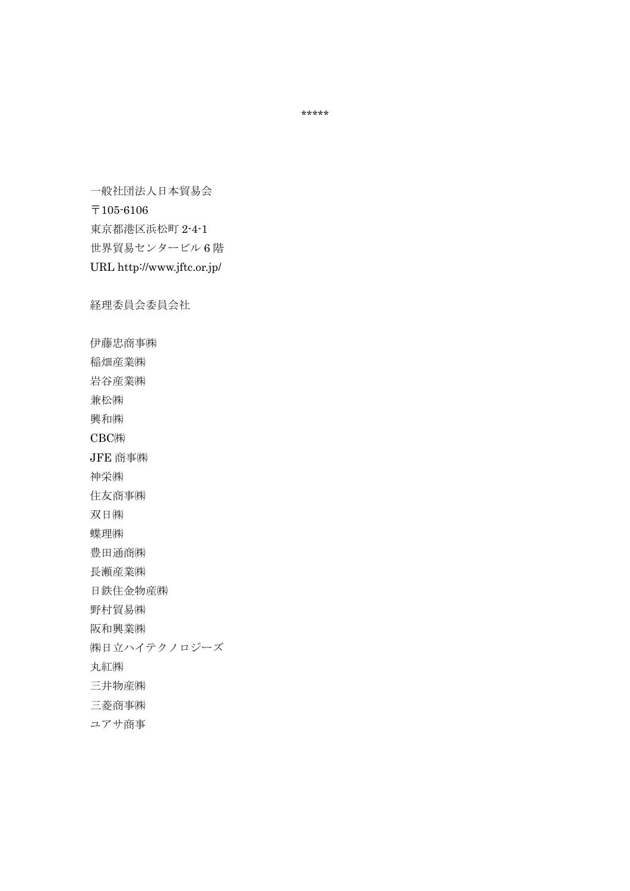一般社団法人日本貿易会 〒105-6106 東京都港区浜松町 2-4-1 世界貿易センタービル 6 階 URL http://www.jftc.or.jp/

経理委員会委員会社

伊藤忠商事㈱

稲畑産業㈱

岩谷産業㈱

兼松㈱

興和㈱

CBC㈱

JFE 商事㈱

神栄㈱

住友商事㈱

双日㈱

蝶理㈱

豊田通商㈱

長瀬産業㈱

日鉄住金物産㈱

野村貿易㈱

阪和興業㈱

㈱日立ハイテクノロジーズ

丸紅㈱

三井物産㈱

三菱商事㈱

ユアサ商事

\*\*\*\*\*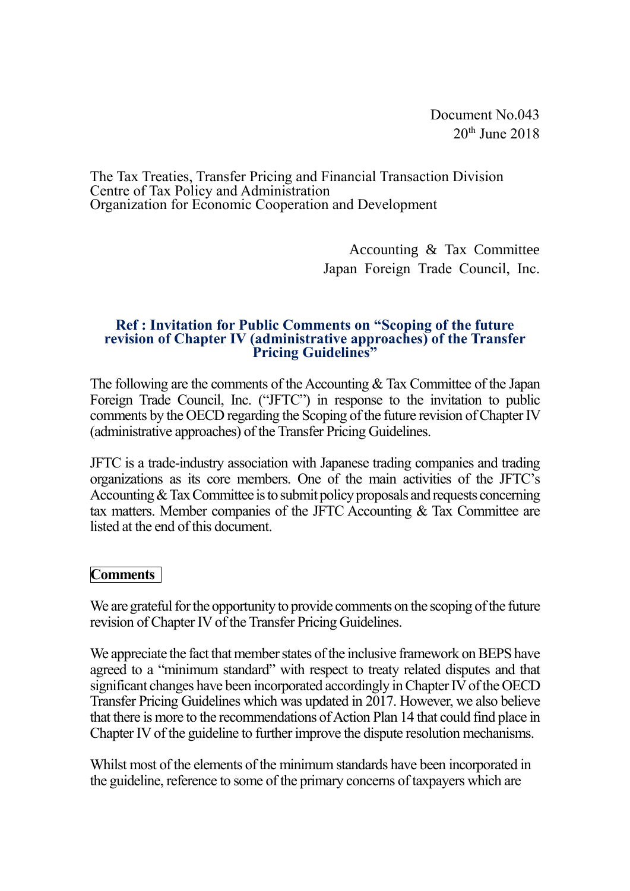Document No.043  $20<sup>th</sup>$  June  $2018$ 

The Tax Treaties, Transfer Pricing and Financial Transaction Division Centre of Tax Policy and Administration Organization for Economic Cooperation and Development

> Accounting & Tax Committee Japan Foreign Trade Council, Inc.

## **Ref : Invitation for Public Comments on "Scoping of the future revision of Chapter IV (administrative approaches) of the Transfer Pricing Guidelines"**

The following are the comments of the Accounting  $&$  Tax Committee of the Japan Foreign Trade Council, Inc. ("JFTC") in response to the invitation to public comments by the OECD regarding the Scoping of the future revision of Chapter IV (administrative approaches) of the Transfer Pricing Guidelines.

JFTC is a trade-industry association with Japanese trading companies and trading organizations as its core members. One of the main activities of the JFTC's Accounting & Tax Committee is to submit policy proposals and requests concerning tax matters. Member companies of the JFTC Accounting & Tax Committee are listed at the end of this document.

# **Comments**

We are grateful for the opportunity to provide comments on the scoping of the future revision of Chapter IV of the Transfer Pricing Guidelines.

We appreciate the fact that member states of the inclusive framework on BEPS have agreed to a "minimum standard" with respect to treaty related disputes and that significant changes have been incorporated accordingly in Chapter IV of the OECD Transfer Pricing Guidelines which was updated in 2017. However, we also believe that there is more to the recommendations of Action Plan 14 that could find place in Chapter IV of the guideline to further improve the dispute resolution mechanisms.

Whilst most of the elements of the minimum standards have been incorporated in the guideline, reference to some of the primary concerns of taxpayers which are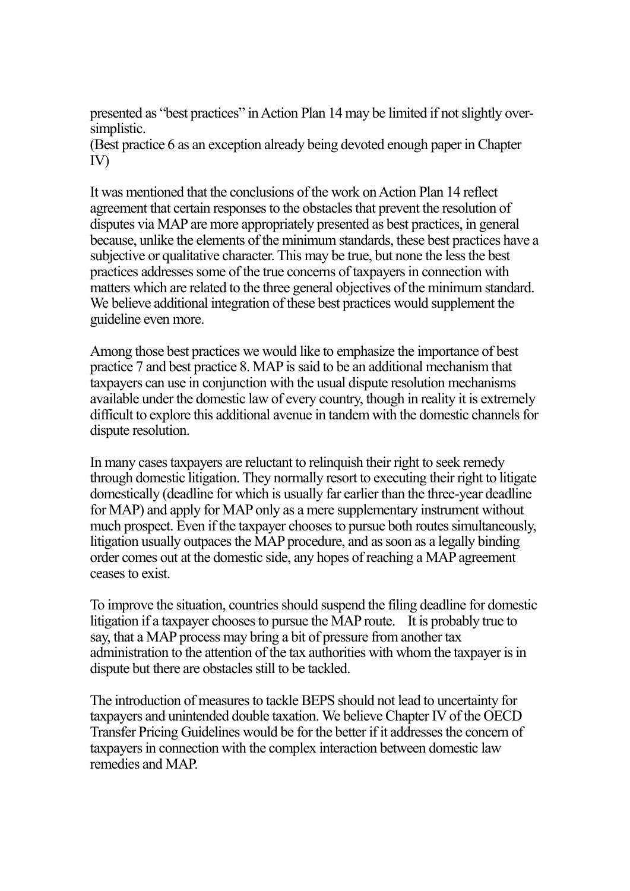presented as "best practices" in Action Plan 14 may be limited if not slightly oversimplistic.

(Best practice 6 as an exception already being devoted enough paper in Chapter IV)

It was mentioned that the conclusions of the work on Action Plan 14 reflect agreement that certain responses to the obstacles that prevent the resolution of disputes via MAP are more appropriately presented as best practices, in general because, unlike the elements of the minimum standards, these best practices have a subjective or qualitative character. This may be true, but none the less the best practices addresses some of the true concerns of taxpayers in connection with matters which are related to the three general objectives of the minimum standard. We believe additional integration of these best practices would supplement the guideline even more.

Among those best practices we would like to emphasize the importance of best practice 7 and best practice 8. MAP is said to be an additional mechanism that taxpayers can use in conjunction with the usual dispute resolution mechanisms available under the domestic law of every country, though in reality it is extremely difficult to explore this additional avenue in tandem with the domestic channels for dispute resolution.

In many cases taxpayers are reluctant to relinquish their right to seek remedy through domestic litigation. They normally resort to executing their right to litigate domestically (deadline for which is usually far earlier than the three-year deadline for MAP) and apply for MAP only as a mere supplementary instrument without much prospect. Even if the taxpayer chooses to pursue both routes simultaneously, litigation usually outpaces the MAP procedure, and as soon as a legally binding order comes out at the domestic side, any hopes of reaching a MAP agreement ceases to exist.

To improve the situation, countries should suspend the filing deadline for domestic litigation if a taxpayer chooses to pursue the MAP route. It is probably true to say, that a MAP process may bring a bit of pressure from another tax administration to the attention of the tax authorities with whom the taxpayer is in dispute but there are obstacles still to be tackled.

The introduction of measures to tackle BEPS should not lead to uncertainty for taxpayers and unintended double taxation. We believe Chapter IV of the OECD Transfer Pricing Guidelines would be for the better if it addresses the concern of taxpayers in connection with the complex interaction between domestic law remedies and MAP.